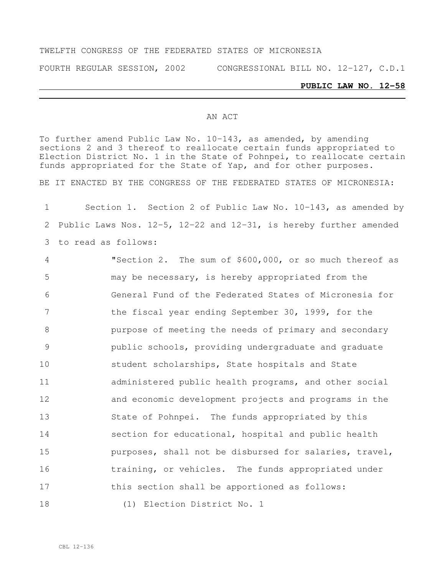#### TWELFTH CONGRESS OF THE FEDERATED STATES OF MICRONESIA

FOURTH REGULAR SESSION, 2002 CONGRESSIONAL BILL NO. 12-127, C.D.1

#### **PUBLIC LAW NO. 12-58**

#### AN ACT

To further amend Public Law No. 10-143, as amended, by amending sections 2 and 3 thereof to reallocate certain funds appropriated to Election District No. 1 in the State of Pohnpei, to reallocate certain funds appropriated for the State of Yap, and for other purposes.

BE IT ENACTED BY THE CONGRESS OF THE FEDERATED STATES OF MICRONESIA:

1 Section 1. Section 2 of Public Law No. 10-143, as amended by 2 Public Laws Nos. 12-5, 12-22 and 12-31, is hereby further amended 3 to read as follows:

 "Section 2. The sum of \$600,000, or so much thereof as may be necessary, is hereby appropriated from the General Fund of the Federated States of Micronesia for 7 the fiscal year ending September 30, 1999, for the purpose of meeting the needs of primary and secondary public schools, providing undergraduate and graduate student scholarships, State hospitals and State administered public health programs, and other social and economic development projects and programs in the State of Pohnpei. The funds appropriated by this section for educational, hospital and public health purposes, shall not be disbursed for salaries, travel, 16 training, or vehicles. The funds appropriated under 17 this section shall be apportioned as follows: 18 (1) Election District No. 1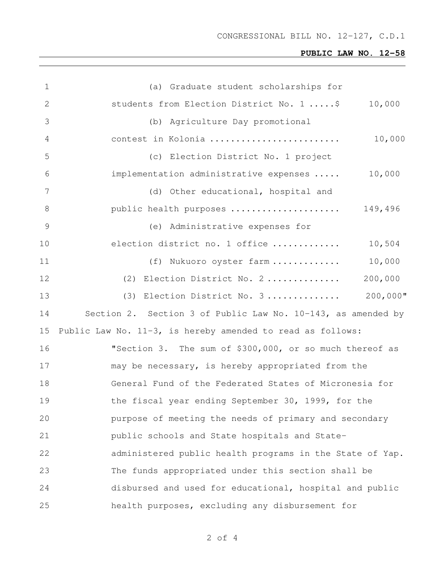# **PUBLIC LAW NO. 12-58**

| $\mathbf 1$   | (a) Graduate student scholarships for                        |
|---------------|--------------------------------------------------------------|
| 2             | students from Election District No. 1  \$<br>10,000          |
| 3             | (b) Agriculture Day promotional                              |
| 4             | 10,000<br>contest in Kolonia                                 |
| 5             | (c) Election District No. 1 project                          |
| 6             | implementation administrative expenses<br>10,000             |
| 7             | (d) Other educational, hospital and                          |
| 8             | 149,496<br>public health purposes                            |
| $\mathcal{G}$ | (e) Administrative expenses for                              |
| 10            | election district no. 1 office<br>10,504                     |
| 11            | 10,000<br>(f) Nukuoro oyster farm                            |
| 12            | 200,000<br>(2) Election District No. 2                       |
| 13            | $200,000$ "<br>(3) Election District No. 3                   |
| 14            | Section 2. Section 3 of Public Law No. 10-143, as amended by |
| 15            | Public Law No. 11-3, is hereby amended to read as follows:   |
| 16            | "Section 3. The sum of \$300,000, or so much thereof as      |
| 17            | may be necessary, is hereby appropriated from the            |
| 18            | General Fund of the Federated States of Micronesia for       |
| 19            | the fiscal year ending September 30, 1999, for the           |
| 20            | purpose of meeting the needs of primary and secondary        |
| 21            | public schools and State hospitals and State-                |
| 22            | administered public health programs in the State of Yap.     |
| 23            | The funds appropriated under this section shall be           |
| 24            | disbursed and used for educational, hospital and public      |
| 25            | health purposes, excluding any disbursement for              |

of 4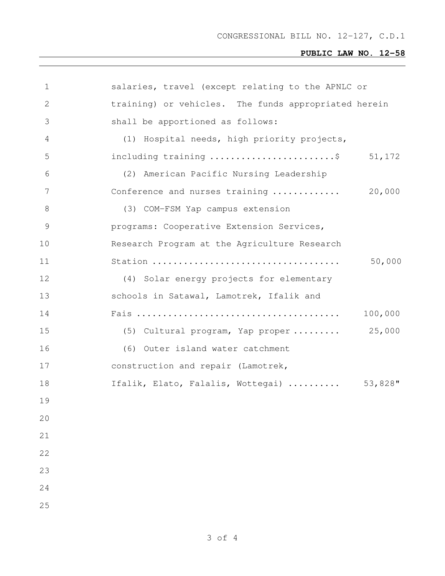# **PUBLIC LAW NO. 12-58**

| $\mathbf 1$   | salaries, travel (except relating to the APNLC or                       |         |
|---------------|-------------------------------------------------------------------------|---------|
| 2             | training) or vehicles. The funds appropriated herein                    |         |
| 3             | shall be apportioned as follows:                                        |         |
| 4             | (1) Hospital needs, high priority projects,                             |         |
| 5             | including training $\ldots \ldots \ldots \ldots \ldots \ldots \ldots \$ | 51,172  |
| 6             | (2) American Pacific Nursing Leadership                                 |         |
| 7             | Conference and nurses training                                          | 20,000  |
| $8\,$         | (3) COM-FSM Yap campus extension                                        |         |
| $\mathcal{G}$ | programs: Cooperative Extension Services,                               |         |
| 10            | Research Program at the Agriculture Research                            |         |
| 11            |                                                                         | 50,000  |
| 12            | (4) Solar energy projects for elementary                                |         |
| 13            | schools in Satawal, Lamotrek, Ifalik and                                |         |
| 14            |                                                                         | 100,000 |
| 15            | (5) Cultural program, Yap proper                                        | 25,000  |
| 16            | (6) Outer island water catchment                                        |         |
| 17            | construction and repair (Lamotrek,                                      |         |
| 18            | Ifalik, Elato, Falalis, Wottegai)                                       | 53,828" |
| 19            |                                                                         |         |
| 20            |                                                                         |         |
| 21            |                                                                         |         |
| 22            |                                                                         |         |
| 23            |                                                                         |         |
| 24            |                                                                         |         |
| 25            |                                                                         |         |